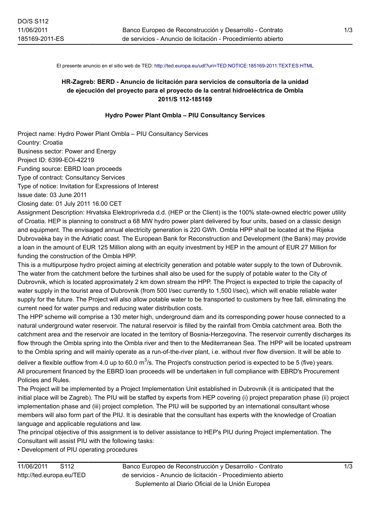El presente anuncio en el sitio web de TED:<http://ted.europa.eu/udl?uri=TED:NOTICE:185169-2011:TEXT:ES:HTML>

## **HR-Zagreb: BERD - Anuncio de licitación para servicios de consultoría de la unidad de ejecución del proyecto para el proyecto de la central hidroeléctrica de Ombla 2011/S 112-185169**

## **Hydro Power Plant Ombla – PIU Consultancy Services**

Project name: Hydro Power Plant Ombla – PIU Consultancy Services Country: Croatia Business sector: Power and Energy Project ID: 6399-EOI-42219 Funding source: EBRD loan proceeds Type of contract: Consultancy Services Type of notice: Invitation for Expressions of Interest Issue date: 03 June 2011

Closing date: 01 July 2011 16.00 CET

Assignment Description: Hrvatska Elektroprivreda d.d. (HEP or the Client) is the 100% state-owned electric power utility of Croatia. HEP is planning to construct a 68 MW hydro power plant delivered by four units, based on a classic design and equipment. The envisaged annual electricity generation is 220 GWh. Ombla HPP shall be located at the Rijeka Dubrovaèka bay in the Adriatic coast. The European Bank for Reconstruction and Development (the Bank) may provide a loan in the amount of EUR 125 Million along with an equity investment by HEP in the amount of EUR 27 Million for funding the construction of the Ombla HPP.

This is a multipurpose hydro project aiming at electricity generation and potable water supply to the town of Dubrovnik. The water from the catchment before the turbines shall also be used for the supply of potable water to the City of Dubrovnik, which is located approximately 2 km down stream the HPP. The Project is expected to triple the capacity of water supply in the tourist area of Dubrovnik (from 500 l/sec currently to 1,500 l/sec), which will enable reliable water supply for the future. The Project will also allow potable water to be transported to customers by free fall, eliminating the current need for water pumps and reducing water distribution costs.

The HPP scheme will comprise a 130 meter high, underground dam and its corresponding power house connected to a natural underground water reservoir. The natural reservoir is filled by the rainfall from Ombla catchment area. Both the catchment area and the reservoir are located in the territory of Bosnia-Herzegovina. The reservoir currently discharges its flow through the Ombla spring into the Ombla river and then to the Mediterranean Sea. The HPP will be located upstream to the Ombla spring and will mainly operate as a run-of-the-river plant, i.e. without river flow diversion. It will be able to

deliver a flexible outflow from 4.0 up to 60.0 m $^3$ /s. The Project's construction period is expected to be 5 (five) years. All procurement financed by the EBRD loan proceeds will be undertaken in full compliance with EBRD's Procurement Policies and Rules.

The Project will be implemented by a Project Implementation Unit established in Dubrovnik (it is anticipated that the initial place will be Zagreb). The PIU will be staffed by experts from HEP covering (i) project preparation phase (ii) project implementation phase and (iii) project completion. The PIU will be supported by an international consultant whose members will also form part of the PIU. It is desirable that the consultant has experts with the knowledge of Croatian language and applicable regulations and law.

The principal objective of this assignment is to deliver assistance to HEP's PIU during Project implementation. The Consultant will assist PIU with the following tasks:

• Development of PIU operating procedures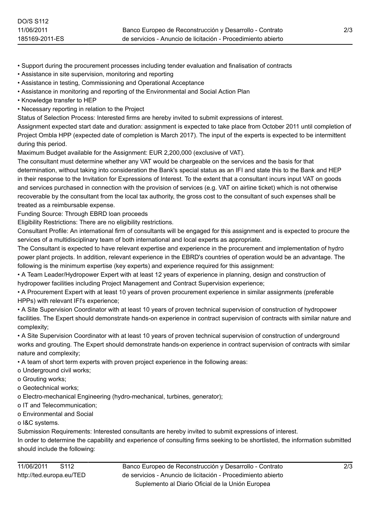• Support during the procurement processes including tender evaluation and finalisation of contracts

- Assistance in site supervision, monitoring and reporting
- Assistance in testing, Commissioning and Operational Acceptance
- Assistance in monitoring and reporting of the Environmental and Social Action Plan
- Knowledge transfer to HEP
- Necessary reporting in relation to the Project

Status of Selection Process: Interested firms are hereby invited to submit expressions of interest.

Assignment expected start date and duration: assignment is expected to take place from October 2011 until completion of Project Ombla HPP (expected date of completion is March 2017). The input of the experts is expected to be intermittent during this period.

Maximum Budget available for the Assignment: EUR 2,200,000 (exclusive of VAT).

The consultant must determine whether any VAT would be chargeable on the services and the basis for that determination, without taking into consideration the Bank's special status as an IFI and state this to the Bank and HEP in their response to the Invitation for Expressions of Interest. To the extent that a consultant incurs input VAT on goods and services purchased in connection with the provision of services (e.g. VAT on airline ticket) which is not otherwise recoverable by the consultant from the local tax authority, the gross cost to the consultant of such expenses shall be treated as a reimbursable expense.

Funding Source: Through EBRD loan proceeds

Eligibility Restrictions: There are no eligibility restrictions.

Consultant Profile: An international firm of consultants will be engaged for this assignment and is expected to procure the services of a multidisciplinary team of both international and local experts as appropriate.

The Consultant is expected to have relevant expertise and experience in the procurement and implementation of hydro power plant projects. In addition, relevant experience in the EBRD's countries of operation would be an advantage. The following is the minimum expertise (key experts) and experience required for this assignment:

• A Team Leader/Hydropower Expert with at least 12 years of experience in planning, design and construction of hydropower facilities including Project Management and Contract Supervision experience;

• A Procurement Expert with at least 10 years of proven procurement experience in similar assignments (preferable HPPs) with relevant IFI's experience;

• A Site Supervision Coordinator with at least 10 years of proven technical supervision of construction of hydropower facilities. The Expert should demonstrate hands-on experience in contract supervision of contracts with similar nature and complexity;

• A Site Supervision Coordinator with at least 10 years of proven technical supervision of construction of underground works and grouting. The Expert should demonstrate hands-on experience in contract supervision of contracts with similar nature and complexity;

• A team of short term experts with proven project experience in the following areas:

- o Underground civil works;
- o Grouting works;
- o Geotechnical works;
- o Electro-mechanical Engineering (hydro-mechanical, turbines, generator);
- o IT and Telecommunication;
- o Environmental and Social

o I&C systems.

Submission Requirements: Interested consultants are hereby invited to submit expressions of interest.

In order to determine the capability and experience of consulting firms seeking to be shortlisted, the information submitted should include the following: